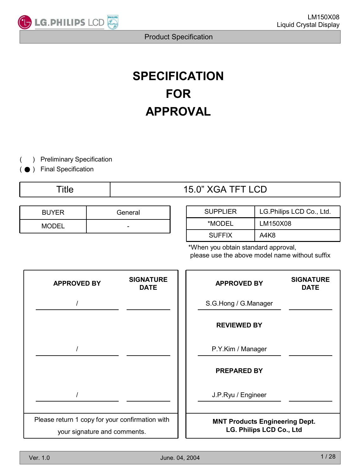

# **SPECIFICATION FOR APPROVAL**

) Preliminary Specification (

● ) Final Specification (

## Title 15.0" XGA TFT LCD

| <b>BUYER</b> | General |  |  |  |  |
|--------------|---------|--|--|--|--|
| <b>MODEL</b> | -       |  |  |  |  |

| <b>SUPPLIER</b> | LG.Philips LCD Co., Ltd. |
|-----------------|--------------------------|
| *MODEL          | LM150X08                 |
| <b>SUFFIX</b>   | A4K8                     |

\*When you obtain standard approval, please use the above model name without suffix

| <b>APPROVED BY</b>                                                              | <b>SIGNATURE</b><br><b>DATE</b> |  | <b>APPROVED BY</b>                                                | <b>SIGNATURE</b><br><b>DATE</b> |
|---------------------------------------------------------------------------------|---------------------------------|--|-------------------------------------------------------------------|---------------------------------|
|                                                                                 |                                 |  | S.G.Hong / G.Manager                                              |                                 |
|                                                                                 |                                 |  | <b>REVIEWED BY</b>                                                |                                 |
|                                                                                 |                                 |  | P.Y.Kim / Manager                                                 |                                 |
|                                                                                 |                                 |  | <b>PREPARED BY</b>                                                |                                 |
|                                                                                 |                                 |  | J.P.Ryu / Engineer                                                |                                 |
| Please return 1 copy for your confirmation with<br>your signature and comments. |                                 |  | <b>MNT Products Engineering Dept.</b><br>LG. Philips LCD Co., Ltd |                                 |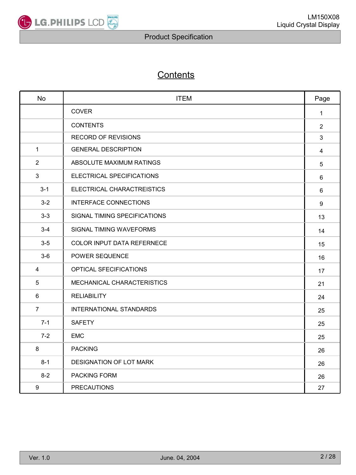

### **Contents**

| <b>No</b>        | <b>ITEM</b>                    | Page           |
|------------------|--------------------------------|----------------|
|                  | <b>COVER</b>                   | $\mathbf 1$    |
|                  | <b>CONTENTS</b>                | $\overline{2}$ |
|                  | <b>RECORD OF REVISIONS</b>     | 3              |
| $\mathbf{1}$     | <b>GENERAL DESCRIPTION</b>     | $\overline{4}$ |
| $\overline{2}$   | ABSOLUTE MAXIMUM RATINGS       | 5              |
| 3                | ELECTRICAL SPECIFICATIONS      | 6              |
| $3 - 1$          | ELECTRICAL CHARACTREISTICS     | $6\phantom{a}$ |
| $3 - 2$          | <b>INTERFACE CONNECTIONS</b>   | 9              |
| $3 - 3$          | SIGNAL TIMING SPECIFICATIONS   | 13             |
| $3 - 4$          | SIGNAL TIMING WAVEFORMS        | 14             |
| $3-5$            | COLOR INPUT DATA REFERNECE     | 15             |
| $3-6$            | POWER SEQUENCE                 | 16             |
| 4                | OPTICAL SFECIFICATIONS         | 17             |
| 5                | MECHANICAL CHARACTERISTICS     | 21             |
| 6                | <b>RELIABILITY</b>             | 24             |
| $\overline{7}$   | <b>INTERNATIONAL STANDARDS</b> | 25             |
| $7 - 1$          | <b>SAFETY</b>                  | 25             |
| $7 - 2$          | <b>EMC</b>                     | 25             |
| 8                | <b>PACKING</b>                 | 26             |
| $8 - 1$          | DESIGNATION OF LOT MARK        | 26             |
| $8 - 2$          | PACKING FORM                   | 26             |
| $\boldsymbol{9}$ | <b>PRECAUTIONS</b>             | 27             |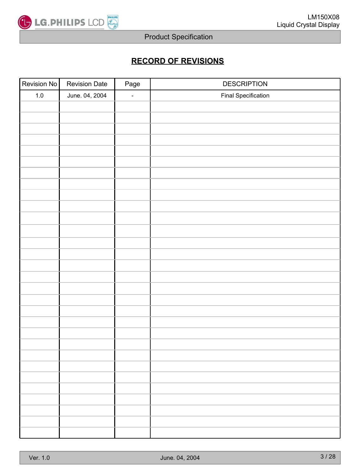

### **RECORD OF REVISIONS**

| Revision No | <b>Revision Date</b> | Page   | <b>DESCRIPTION</b>         |
|-------------|----------------------|--------|----------------------------|
| $1.0\,$     | June. 04, 2004       | $\Box$ | <b>Final Specification</b> |
|             |                      |        |                            |
|             |                      |        |                            |
|             |                      |        |                            |
|             |                      |        |                            |
|             |                      |        |                            |
|             |                      |        |                            |
|             |                      |        |                            |
|             |                      |        |                            |
|             |                      |        |                            |
|             |                      |        |                            |
|             |                      |        |                            |
|             |                      |        |                            |
|             |                      |        |                            |
|             |                      |        |                            |
|             |                      |        |                            |
|             |                      |        |                            |
|             |                      |        |                            |
|             |                      |        |                            |
|             |                      |        |                            |
|             |                      |        |                            |
|             |                      |        |                            |
|             |                      |        |                            |
|             |                      |        |                            |
|             |                      |        |                            |
|             |                      |        |                            |
|             |                      |        |                            |
|             |                      |        |                            |
|             |                      |        |                            |
|             |                      |        |                            |
|             |                      |        |                            |
|             |                      |        |                            |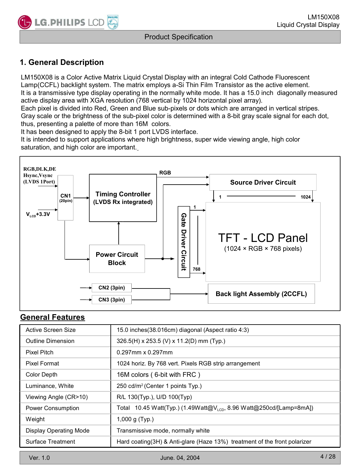### **1. General Description**

LM150X08 is a Color Active Matrix Liquid Crystal Display with an integral Cold Cathode Fluorescent Lamp(CCFL) backlight system. The matrix employs a-Si Thin Film Transistor as the active element. It is a transmissive type display operating in the normally white mode. It has a 15.0 inch diagonally measured active display area with XGA resolution (768 vertical by 1024 horizontal pixel array).

Each pixel is divided into Red, Green and Blue sub-pixels or dots which are arranged in vertical stripes. Gray scale or the brightness of the sub-pixel color is determined with a 8-bit gray scale signal for each dot, thus, presenting a palette of more than 16M colors.

It has been designed to apply the 8-bit 1 port LVDS interface.

It is intended to support applications where high brightness, super wide viewing angle, high color saturation, and high color are important.



#### **General Features**

| Active Screen Size            | 15.0 inches (38.016cm) diagonal (Aspect ratio 4:3)                              |
|-------------------------------|---------------------------------------------------------------------------------|
| <b>Outline Dimension</b>      | 326.5(H) x 253.5 (V) x 11.2(D) mm (Typ.)                                        |
| Pixel Pitch                   | $0.297$ mm x $0.297$ mm                                                         |
| Pixel Format                  | 1024 horiz. By 768 vert. Pixels RGB strip arrangement                           |
| Color Depth                   | 16M colors (6-bit with FRC)                                                     |
| Luminance, White              | 250 cd/m <sup>2</sup> (Center 1 points Typ.)                                    |
| Viewing Angle (CR>10)         | R/L 130(Typ.), U/D 100(Typ)                                                     |
| Power Consumption             | Total 10.45 Watt(Typ.) (1.49Watt@V <sub>LCD</sub> , 8.96 Watt@250cd/[Lamp=8mA]) |
| Weight                        | 1,000 g $(Typ.)$                                                                |
| <b>Display Operating Mode</b> | Transmissive mode, normally white                                               |
| Surface Treatment             | Hard coating(3H) & Anti-glare (Haze 13%) treatment of the front polarizer       |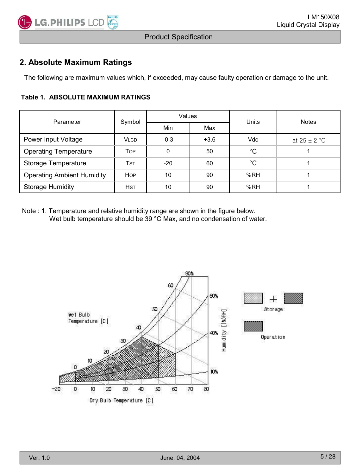

### **2. Absolute Maximum Ratings**

The following are maximum values which, if exceeded, may cause faulty operation or damage to the unit.

#### **Table 1. ABSOLUTE MAXIMUM RATINGS**

| Parameter                         | Symbol                           | Values |        | Units       | <b>Notes</b>     |  |
|-----------------------------------|----------------------------------|--------|--------|-------------|------------------|--|
|                                   |                                  | Min    | Max    |             |                  |  |
| Power Input Voltage               | <b>VLCD</b>                      | $-0.3$ | $+3.6$ | <b>Vdc</b>  | at $25 \pm 2$ °C |  |
| <b>Operating Temperature</b>      | Top                              | 0      | 50     | $^{\circ}C$ |                  |  |
| Storage Temperature               | $\mathsf{T}\mathsf{s}\mathsf{T}$ | $-20$  | 60     | $^{\circ}C$ |                  |  |
| <b>Operating Ambient Humidity</b> | <b>HOP</b>                       | 10     | 90     | %RH         |                  |  |
| <b>Storage Humidity</b>           | <b>HST</b>                       | 10     | 90     | %RH         |                  |  |

Note : 1. Temperature and relative humidity range are shown in the figure below. Wet bulb temperature should be 39 °C Max, and no condensation of water.

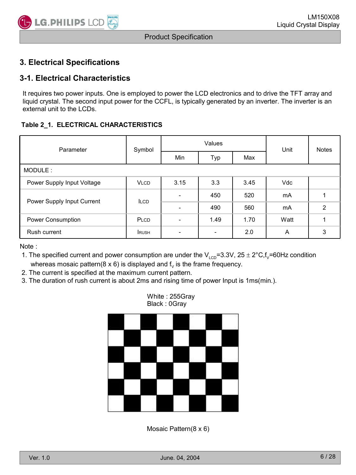### **3. Electrical Specifications**

### **3-1. Electrical Characteristics**

It requires two power inputs. One is employed to power the LCD electronics and to drive the TFT array and liquid crystal. The second input power for the CCFL, is typically generated by an inverter. The inverter is an external unit to the LCDs.

#### **Table 2\_1. ELECTRICAL CHARACTERISTICS**

| Parameter                  | Symbol      |      | Values | Unit | <b>Notes</b> |   |  |
|----------------------------|-------------|------|--------|------|--------------|---|--|
|                            |             | Min  | Typ    | Max  |              |   |  |
| MODULE:                    |             |      |        |      |              |   |  |
| Power Supply Input Voltage | <b>VLCD</b> | 3.15 | 3.3    | 3.45 | <b>Vdc</b>   |   |  |
| Power Supply Input Current | <b>ILCD</b> | ۰    | 450    | 520  | mA           |   |  |
|                            |             |      | 490    | 560  | mA           | 2 |  |
| Power Consumption          | PLCD        |      | 1.49   | 1.70 | Watt         |   |  |
| Rush current               | <b>RUSH</b> |      | -      | 2.0  | A            | 3 |  |

Note :

1. The specified current and power consumption are under the  $V_{\text{LCD}}$ =3.3V, 25 ± 2°C,f<sub>V</sub>=60Hz condition whereas mosaic pattern( $8 \times 6$ ) is displayed and  $f<sub>v</sub>$  is the frame frequency.

2. The current is specified at the maximum current pattern.

3. The duration of rush current is about 2ms and rising time of power Input is 1ms(min.).

White : 255Gray Black : 0Gray



Mosaic Pattern(8 x 6)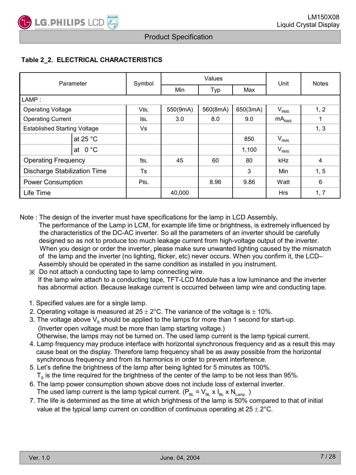#### **Table 2\_2. ELECTRICAL CHARACTERISTICS**

| Parameter                           |                    | Symbol      |          | Values   | Unit     | <b>Notes</b>     |                |
|-------------------------------------|--------------------|-------------|----------|----------|----------|------------------|----------------|
|                                     |                    |             | Min      | Typ      | Max      |                  |                |
| LAMP:                               |                    |             |          |          |          |                  |                |
| <b>Operating Voltage</b>            |                    | <b>VBL</b>  | 550(9mA) | 560(8mA) | 650(3mA) | V <sub>RMS</sub> | 1, 2           |
| <b>Operating Current</b>            |                    | <b>I</b> BL | 3.0      | 8.0      | 9.0      | $mA_{RMS}$       |                |
| <b>Established Starting Voltage</b> |                    | Vs          |          |          |          |                  | 1, 3           |
|                                     | at 25 $^{\circ}$ C |             |          |          | 850      | V <sub>RMS</sub> |                |
|                                     | at $0^{\circ}$ C   |             |          |          | 1,100    | $V_{RMS}$        |                |
| <b>Operating Frequency</b>          |                    | fbl         | 45       | 60       | 80       | <b>kHz</b>       | $\overline{4}$ |
| Discharge Stabilization Time        |                    | <b>Ts</b>   |          |          | 3        | Min              | 1, 5           |
| Power Consumption                   |                    | PBL         |          | 8.96     | 9.86     | Watt             | 6              |
| Life Time                           |                    |             | 40,000   |          |          | <b>Hrs</b>       | 1, 7           |

Note : The design of the inverter must have specifications for the lamp in LCD Assembly**.**

- The performance of the Lamp in LCM, for example life time or brightness, is extremely influenced by the characteristics of the DC-AC inverter. So all the parameters of an inverter should be carefully designed so as not to produce too much leakage current from high-voltage output of the inverter. When you design or order the inverter, please make sure unwanted lighting caused by the mismatch of the lamp and the inverter (no lighting, flicker, etc) never occurs. When you confirm it, the LCD– Assembly should be operated in the same condition as installed in you instrument.
	- ※ Do not attach a conducting tape to lamp connecting wire. If the lamp wire attach to a conducting tape, TFT-LCD Module has a low luminance and the inverter has abnormal action. Because leakage current is occurred between lamp wire and conducting tape.
	- 1. Specified values are for a single lamp.
	- 2. Operating voltage is measured at  $25 \pm 2^{\circ}$ C. The variance of the voltage is  $\pm$  10%.
	- 3. The voltage above  $V_s$  should be applied to the lamps for more than 1 second for start-up. (Inverter open voltage must be more than lamp starting voltage.) Otherwise, the lamps may not be turned on. The used lamp current is the lamp typical current.
	- 4. Lamp frequency may produce interface with horizontal synchronous frequency and as a result this may cause beat on the display. Therefore lamp frequency shall be as away possible from the horizontal synchronous frequency and from its harmonics in order to prevent interference.
	- 5. Let's define the brightness of the lamp after being lighted for 5 minutes as 100%.  $T<sub>s</sub>$  is the time required for the brightness of the center of the lamp to be not less than 95%.
	- 6. The lamp power consumption shown above does not include loss of external inverter. The used lamp current is the lamp typical current.  $(P_{BL} = V_{BL} \times I_{BL} \times N_{Lamp}$ )
	- 7. The life is determined as the time at which brightness of the lamp is 50% compared to that of initial value at the typical lamp current on condition of continuous operating at  $25 \pm 2^{\circ}$ C.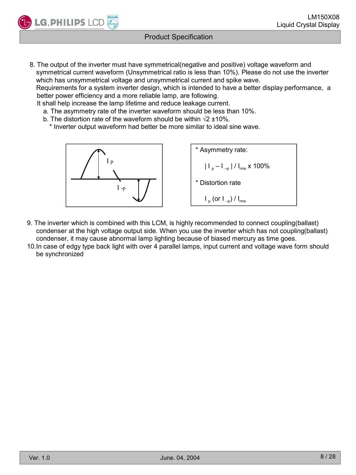

**LG.PHILIPS LCD** 

8. The output of the inverter must have symmetrical(negative and positive) voltage waveform and symmetrical current waveform (Unsymmetrical ratio is less than 10%). Please do not use the inverter which has unsymmetrical voltage and unsymmetrical current and spike wave. Requirements for a system inverter design, which is intended to have a better display performance, a

better power efficiency and a more reliable lamp, are following.

It shall help increase the lamp lifetime and reduce leakage current.

- a. The asymmetry rate of the inverter waveform should be less than 10%.
- b. The distortion rate of the waveform should be within  $\sqrt{2} \pm 10\%$ .
	- \* Inverter output waveform had better be more similar to ideal sine wave.



- 9. The inverter which is combined with this LCM, is highly recommended to connect coupling(ballast) condenser at the high voltage output side. When you use the inverter which has not coupling(ballast) condenser, it may cause abnormal lamp lighting because of biased mercury as time goes.
- 10.In case of edgy type back light with over 4 parallel lamps, input current and voltage wave form should be synchronized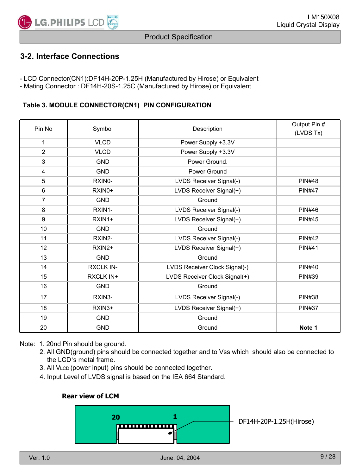

### **3-2. Interface Connections**

- LCD Connector(CN1):DF14H-20P-1.25H (Manufactured by Hirose) or Equivalent

- Mating Connector : DF14H-20S-1.25C (Manufactured by Hirose) or Equivalent

#### **Table 3. MODULE CONNECTOR(CN1) PIN CONFIGURATION**

| Pin No         | Symbol           | Description                   | Output Pin #  |
|----------------|------------------|-------------------------------|---------------|
|                |                  |                               | (LVDS Tx)     |
| 1              | <b>VLCD</b>      | Power Supply +3.3V            |               |
| $\overline{2}$ | <b>VLCD</b>      | Power Supply +3.3V            |               |
| 3              | <b>GND</b>       | Power Ground.                 |               |
| 4              | <b>GND</b>       | Power Ground                  |               |
| 5              | RXINO-           | LVDS Receiver Signal(-)       | <b>PIN#48</b> |
| 6              | RXIN0+           | LVDS Receiver Signal(+)       | <b>PIN#47</b> |
| $\overline{7}$ | <b>GND</b>       | Ground                        |               |
| 8              | RXIN1-           | LVDS Receiver Signal(-)       | <b>PIN#46</b> |
| 9              | RXIN1+           | LVDS Receiver Signal(+)       | <b>PIN#45</b> |
| 10             | <b>GND</b>       | Ground                        |               |
| 11             | RXIN2-           | LVDS Receiver Signal(-)       | <b>PIN#42</b> |
| 12             | RXIN2+           | LVDS Receiver Signal(+)       | <b>PIN#41</b> |
| 13             | <b>GND</b>       | Ground                        |               |
| 14             | <b>RXCLK IN-</b> | LVDS Receiver Clock Signal(-) | <b>PIN#40</b> |
| 15             | <b>RXCLK IN+</b> | LVDS Receiver Clock Signal(+) | <b>PIN#39</b> |
| 16             | <b>GND</b>       | Ground                        |               |
| 17             | RXIN3-           | LVDS Receiver Signal(-)       | <b>PIN#38</b> |
| 18             | RXIN3+           | LVDS Receiver Signal(+)       | <b>PIN#37</b> |
| 19             | <b>GND</b>       | Ground                        |               |
| 20             | <b>GND</b>       | Ground                        | Note 1        |

Note: 1. 20nd Pin should be ground.

- 2. All GND(ground) pins should be connected together and to Vss which should also be connected to the LCD's metal frame.
- 3. All VLCD (power input) pins should be connected together.
- 4. Input Level of LVDS signal is based on the IEA 664 Standard.

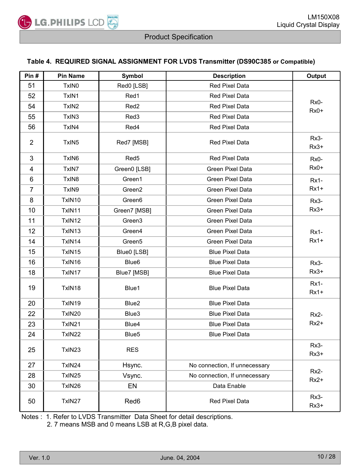

#### **Table 4. REQUIRED SIGNAL ASSIGNMENT FOR LVDS Transmitter (DS90C385 or Compatible)**

| Pin#           | <b>Pin Name</b>   | <b>Symbol</b>      | <b>Description</b>            | <b>Output</b>    |
|----------------|-------------------|--------------------|-------------------------------|------------------|
| 51             | TxIN <sub>0</sub> | Red0 [LSB]         | Red Pixel Data                |                  |
| 52             | TxIN1             | Red1               | Red Pixel Data                | Rx0-             |
| 54             | TxIN <sub>2</sub> | Red <sub>2</sub>   | <b>Red Pixel Data</b>         | $Rx0+$           |
| 55             | TxIN <sub>3</sub> | Red <sub>3</sub>   | Red Pixel Data                |                  |
| 56             | TxIN4             | Red4               | Red Pixel Data                |                  |
| $\overline{2}$ | TxIN <sub>5</sub> | Red7 [MSB]         | Red Pixel Data                | $Rx3-$<br>$Rx3+$ |
| 3              | TxIN6             | Red <sub>5</sub>   | Red Pixel Data                | Rx0-             |
| 4              | TxIN7             | Green0 [LSB]       | Green Pixel Data              | $Rx0+$           |
| 6              | TxIN <sub>8</sub> | Green1             | <b>Green Pixel Data</b>       | $Rx1-$           |
| 7              | TxIN9             | Green2             | Green Pixel Data              | Rx1+             |
| 8              | TxIN10            | Green6             | Green Pixel Data              | $Rx3-$           |
| 10             | TxIN11            | Green7 [MSB]       | Green Pixel Data              | $Rx3+$           |
| 11             | TxIN12            | Green3             | Green Pixel Data              |                  |
| 12             | TxIN13            | Green4             | Green Pixel Data              | <b>Rx1-</b>      |
| 14             | TxIN14            | Green <sub>5</sub> | Green Pixel Data              | $Rx1+$           |
| 15             | TxIN15            | Blue0 [LSB]        | <b>Blue Pixel Data</b>        |                  |
| 16             | TxIN16            | Blue <sub>6</sub>  | <b>Blue Pixel Data</b>        | $Rx3-$           |
| 18             | TxIN17            | Blue7 [MSB]        | <b>Blue Pixel Data</b>        | $Rx3+$           |
| 19             | TxIN18            | Blue1              | <b>Blue Pixel Data</b>        | $Rx1-$<br>$Rx1+$ |
| 20             | TxIN19            | Blue <sub>2</sub>  | <b>Blue Pixel Data</b>        |                  |
| 22             | TxIN20            | Blue3              | <b>Blue Pixel Data</b>        | Rx2-             |
| 23             | TxIN21            | Blue4              | <b>Blue Pixel Data</b>        | Rx2+             |
| 24             | TxIN22            | Blue <sub>5</sub>  | <b>Blue Pixel Data</b>        |                  |
| 25             | TxIN23            | <b>RES</b>         |                               | Rx3-<br>$Rx3+$   |
| 27             | TxIN24            | Hsync.             | No connection, If unnecessary |                  |
| 28             | TxIN25            | Vsync.             | No connection, If unnecessary | $Rx2-$<br>$Rx2+$ |
| 30             | TxIN26            | EN                 | Data Enable                   |                  |
| 50             | TxIN27            | Red6               | Red Pixel Data                | Rx3-<br>$Rx3+$   |

Notes : 1. Refer to LVDS Transmitter Data Sheet for detail descriptions.

2. 7 means MSB and 0 means LSB at R,G,B pixel data.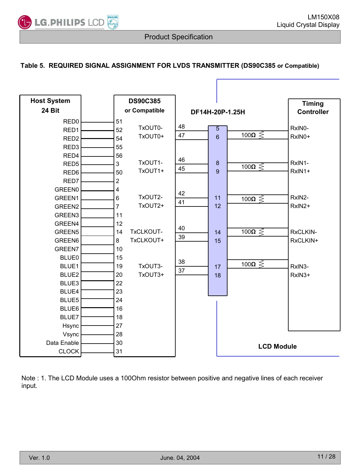ť

#### **Table 5. REQUIRED SIGNAL ASSIGNMENT FOR LVDS TRANSMITTER (DS90C385 or Compatible)**

| <b>Host System</b> |                | <b>DS90C385</b> |    |                   |                  |                        | <b>Timing</b>     |
|--------------------|----------------|-----------------|----|-------------------|------------------|------------------------|-------------------|
| <b>24 Bit</b>      |                | or Compatible   |    | DF14H-20P-1.25H   |                  |                        | <b>Controller</b> |
| RED <sub>0</sub>   | 51             |                 |    |                   |                  |                        |                   |
| RED <sub>1</sub>   | 52             | TxOUT0-         | 48 |                   | 5                |                        | RxIN0-            |
| RED <sub>2</sub>   | 54             | TxOUT0+         | 47 |                   | 6                | 100 $\Omega \gtrless$  | RxIN0+            |
| RED <sub>3</sub>   | 55             |                 |    |                   |                  |                        |                   |
| RED4               | 56             |                 |    |                   |                  |                        |                   |
| RED <sub>5</sub>   | $\mathbf{3}$   | TxOUT1-         | 46 |                   | $\boldsymbol{8}$ | 100 $\Omega \leqslant$ | RxIN1-            |
| RED6               | 50             | TxOUT1+         | 45 |                   | 9                |                        | RxIN1+            |
| RED7               | $\overline{2}$ |                 |    |                   |                  |                        |                   |
| GREEN0             | 4              |                 | 42 |                   |                  |                        |                   |
| GREEN1             | 6              | TxOUT2-         | 41 |                   | 11               | 100 $\Omega \leqslant$ | RxIN2-            |
| GREEN <sub>2</sub> | $\overline{7}$ | TxOUT2+         |    |                   | 12               |                        | RxIN2+            |
| GREEN3             | 11             |                 |    |                   |                  |                        |                   |
| GREEN4             | 12             |                 | 40 |                   |                  |                        |                   |
| GREEN <sub>5</sub> | 14             | TxCLKOUT-       | 39 |                   | 14               | 100 $\Omega \lesssim$  | RxCLKIN-          |
| GREEN6             | 8              | TxCLKOUT+       |    |                   | 15               |                        | RxCLKIN+          |
| GREEN7             | 10             |                 |    |                   |                  |                        |                   |
| <b>BLUE0</b>       | 15             |                 | 38 |                   |                  |                        |                   |
| BLUE1              | 19             | TxOUT3-         | 37 |                   | 17               | 100 $\Omega \lessgtr$  | RxIN3-            |
| BLUE2              | 20             | TxOUT3+         |    |                   | 18               |                        | $RxIN3+$          |
| BLUE3              | 22             |                 |    |                   |                  |                        |                   |
| BLUE4              | 23             |                 |    |                   |                  |                        |                   |
| BLUE5              | 24             |                 |    |                   |                  |                        |                   |
| BLUE6              | 16             |                 |    |                   |                  |                        |                   |
| BLUE7              | 18             |                 |    |                   |                  |                        |                   |
| Hsync              | 27             |                 |    |                   |                  |                        |                   |
| Vsync              | 28             |                 |    |                   |                  |                        |                   |
| Data Enable        | 30             |                 |    | <b>LCD Module</b> |                  |                        |                   |
| <b>CLOCK</b>       | 31             |                 |    |                   |                  |                        |                   |

Note : 1. The LCD Module uses a 100Ohm resistor between positive and negative lines of each receiver input.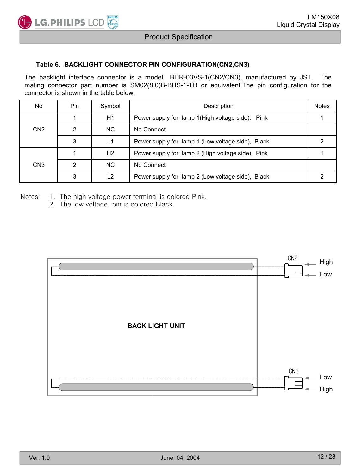

#### **Table 6. BACKLIGHT CONNECTOR PIN CONFIGURATION(CN2,CN3)**

The backlight interface connector is a model BHR-03VS-1(CN2/CN3), manufactured by JST. The mating connector part number is SM02(8.0)B-BHS-1-TB or equivalent.The pin configuration for the connector is shown in the table below.

| No              | Pin | Symbol | Description                                       | <b>Notes</b> |
|-----------------|-----|--------|---------------------------------------------------|--------------|
|                 |     | H1     | Power supply for lamp 1 (High voltage side), Pink |              |
| CN <sub>2</sub> | ◠   | NC.    | No Connect                                        |              |
|                 | 3   | L1     | Power supply for lamp 1 (Low voltage side), Black |              |
|                 |     | H2     | Power supply for lamp 2 (High voltage side), Pink |              |
| CN <sub>3</sub> | ົ   | NC.    | No Connect                                        |              |
|                 | 2   | 12     | Power supply for lamp 2 (Low voltage side), Black |              |

Notes: 1. The high voltage power terminal is colored Pink.

2. The low voltage pin is colored Black.

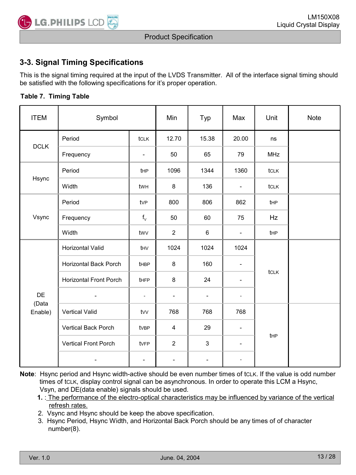### **3-3. Signal Timing Specifications**

This is the signal timing required at the input of the LVDS Transmitter. All of the interface signal timing should be satisfied with the following specifications for it's proper operation.

#### **Table 7. Timing Table**

| <b>ITEM</b>      | Symbol                        |                          | Min                      | Typ                      | Max                          | Unit       | <b>Note</b> |
|------------------|-------------------------------|--------------------------|--------------------------|--------------------------|------------------------------|------------|-------------|
|                  | Period                        | tclk                     | 12.70                    | 15.38                    | 20.00                        | ns         |             |
| <b>DCLK</b>      | Frequency                     | $\overline{\phantom{a}}$ | 50                       | 65                       | 79                           | <b>MHz</b> |             |
|                  | Period                        | t <sub>HP</sub>          | 1096                     | 1344                     | 1360                         | tclk       |             |
| Hsync            | Width                         | twн                      | 8                        | 136                      | $\overline{\phantom{a}}$     | tclk       |             |
|                  | Period                        | tvP                      | 800                      | 806                      | 862                          | tHP        |             |
| Vsync            | Frequency                     | $f_v$                    | 50                       | 60                       | 75                           | Hz         |             |
|                  | Width                         | twy                      | $\overline{2}$           | 6                        | $\overline{\phantom{a}}$     | tHP        |             |
|                  | Horizontal Valid              | thv                      | 1024                     | 1024                     | 1024                         |            |             |
|                  | Horizontal Back Porch         | <b>t</b> HBP             | 8                        | 160                      | $\qquad \qquad -$            |            |             |
|                  | <b>Horizontal Front Porch</b> | tHFP                     | 8                        | 24                       |                              | tclk       |             |
| DE               | $\blacksquare$                | $\overline{\phantom{a}}$ | $\overline{\phantom{a}}$ | $\overline{\phantom{a}}$ | $\overline{\phantom{a}}$     |            |             |
| (Data<br>Enable) | Vertical Valid                | tw                       | 768                      | 768                      | 768                          |            |             |
|                  | Vertical Back Porch           | tvBP                     | 4                        | 29                       | $\qquad \qquad \blacksquare$ |            |             |
|                  | Vertical Front Porch          | tvFP                     | $\overline{2}$           | 3                        |                              | tHP        |             |
|                  |                               | $\blacksquare$           | $\overline{\phantom{a}}$ | $\blacksquare$           | $\overline{\phantom{a}}$     |            |             |

**Note**: Hsync period and Hsync width-active should be even number times of tcLK. If the value is odd number times of tCLK, display control signal can be asynchronous. In order to operate this LCM a Hsync, Vsyn, and DE(data enable) signals should be used.

 **1.** : The performance of the electro-optical characteristics may be influenced by variance of the vertical refresh rates.

- 2. Vsync and Hsync should be keep the above specification.
- 3. Hsync Period, Hsync Width, and Horizontal Back Porch should be any times of of character number(8).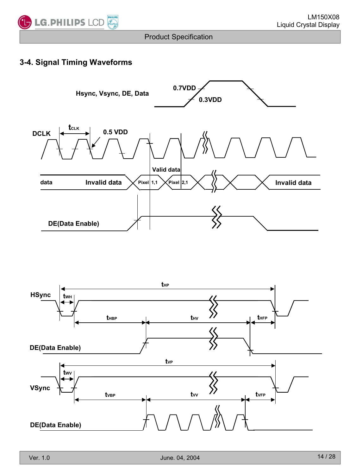

### **3-4. Signal Timing Waveforms**



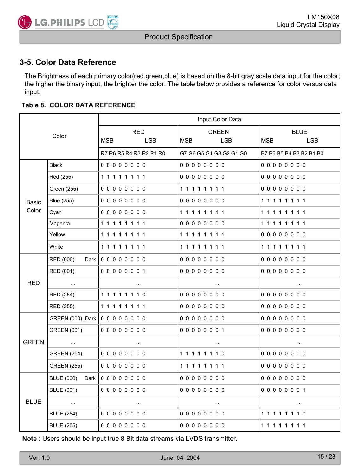

### **3-5. Color Data Reference**

The Brightness of each primary color(red,green,blue) is based on the 8-bit gray scale data input for the color; the higher the binary input, the brighter the color. The table below provides a reference for color versus data input.

#### **Table 8. COLOR DATA REFERENCE**

|              |                                                           |                         | Input Color Data        |                          |  |  |  |  |  |
|--------------|-----------------------------------------------------------|-------------------------|-------------------------|--------------------------|--|--|--|--|--|
| Color        |                                                           | <b>RED</b>              | <b>GREEN</b>            | <b>BLUE</b>              |  |  |  |  |  |
|              |                                                           | MSB<br><b>LSB</b>       | MSB<br>LSB.             | <b>MSB</b><br><b>LSB</b> |  |  |  |  |  |
|              |                                                           | R7 R6 R5 R4 R3 R2 R1 R0 | G7 G6 G5 G4 G3 G2 G1 G0 | B7 B6 B5 B4 B3 B2 B1 B0  |  |  |  |  |  |
|              | <b>Black</b>                                              | 00000000                | 00000000                | 000000000                |  |  |  |  |  |
|              | Red (255)                                                 | 11111111                | 00000000                | 00000000                 |  |  |  |  |  |
|              | Green (255)                                               | 00000000                | 11111111                | 00000000                 |  |  |  |  |  |
| Basic        | Blue (255)                                                | 00000000                | 00000000                | 11111111                 |  |  |  |  |  |
| Color        | Cyan                                                      | 00000000                |                         | 11111111                 |  |  |  |  |  |
|              | Magenta                                                   | 11111111                | 00000000                | 11111111                 |  |  |  |  |  |
|              | Yellow                                                    | 11111111                |                         | 00000000                 |  |  |  |  |  |
|              | White                                                     | 11111111                |                         | 11111111                 |  |  |  |  |  |
|              | RED (000)<br>Dark                                         | 00000000                | 00000000                | 00000000                 |  |  |  |  |  |
|              | RED (001)                                                 | 00000001                | 00000000                | 00000000                 |  |  |  |  |  |
| <b>RED</b>   | $\sim 10^{11}$ and                                        | $\sim$                  | $\cdots$                | $\sim$                   |  |  |  |  |  |
|              | RED (254)                                                 | 11111110                | 00000000                | 000000000                |  |  |  |  |  |
|              | RED (255)                                                 | 11111111                | 00000000                | 00000000                 |  |  |  |  |  |
|              | GREEN (000) Dark 0 0 0 0 0 0 0 0                          |                         | 00000000                | 00000000                 |  |  |  |  |  |
|              | GREEN (001)                                               | 00000000                | 00000001                | 00000000                 |  |  |  |  |  |
| <b>GREEN</b> | $\mathcal{L}_{\text{max}}$ and $\mathcal{L}_{\text{max}}$ | $\sim$                  | $\cdots$                | $\sim$                   |  |  |  |  |  |
|              | GREEN (254)                                               | 00000000                |                         | 00000000                 |  |  |  |  |  |
|              | <b>GREEN (255)</b>                                        | 00000000                |                         | 000000000                |  |  |  |  |  |
|              | <b>BLUE (000)</b><br>Dark                                 | 00000000                | 00000000                | 00000000                 |  |  |  |  |  |
|              | <b>BLUE (001)</b>                                         | 00000000                | 00000000                | 00000001                 |  |  |  |  |  |
| <b>BLUE</b>  | $\mathcal{L}_{\text{max}}$ and $\mathcal{L}_{\text{max}}$ | $\sim$ $\sim$           | $\sim$                  | $\sim$                   |  |  |  |  |  |
|              | <b>BLUE (254)</b>                                         | 00000000                | 00000000                | 11111110                 |  |  |  |  |  |
|              | <b>BLUE (255)</b>                                         | 00000000                | 00000000                |                          |  |  |  |  |  |

**Note** : Users should be input true 8 Bit data streams via LVDS transmitter.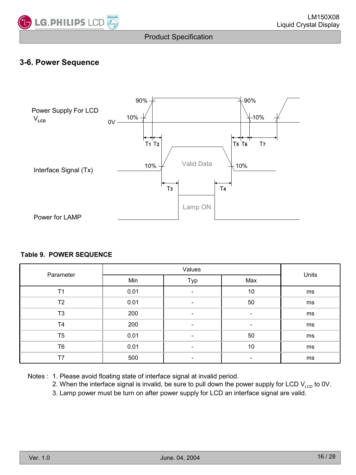

### **3-6. Power Sequence**



#### **Table 9. POWER SEQUENCE**

| Parameter      |      | Units |     |    |
|----------------|------|-------|-----|----|
|                | Min  | Typ   | Max |    |
| T <sub>1</sub> | 0.01 |       | 10  | ms |
| T2             | 0.01 | -     | 50  | ms |
| T <sub>3</sub> | 200  |       |     | ms |
| T <sub>4</sub> | 200  |       |     | ms |
| T <sub>5</sub> | 0.01 |       | 50  | ms |
| T <sub>6</sub> | 0.01 | -     | 10  | ms |
| T7             | 500  |       |     | ms |

Notes : 1. Please avoid floating state of interface signal at invalid period.

- 2. When the interface signal is invalid, be sure to pull down the power supply for LCD  $V_{\text{LCD}}$  to 0V.
- 3. Lamp power must be turn on after power supply for LCD an interface signal are valid.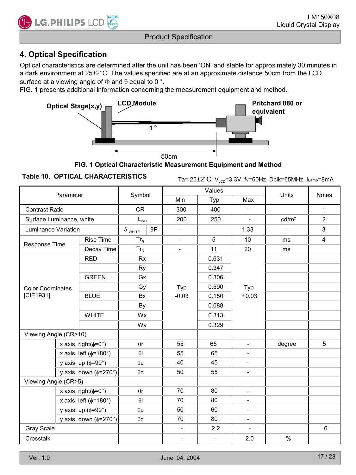

### **4. Optical Specification**

Optical characteristics are determined after the unit has been 'ON' and stable for approximately 30 minutes in a dark environment at 25±2°C. The values specified are at an approximate distance 50cm from the LCD surface at a viewing angle of  $\Phi$  and  $\theta$  equal to 0 °.

FIG. 1 presents additional information concerning the measurement equipment and method.



**FIG. 1 Optical Characteristic Measurement Equipment and Method**

**Table 10. OPTICAL CHARACTERISTICS**  $\begin{array}{cc} \text{Ta= } 25 \pm 2^\circ \text{C}, \ \vee_{\text{LCD}} = 3.3 \lor, \ \text{fv=60Hz}, \ \text{Dclk=65MHz}, \ \text{Lamp=8mA} \end{array}$ 

| Parameter                         |                              | Symbol                         |                                                |    | Values                   |                          | Units                    | <b>Notes</b>      |                |
|-----------------------------------|------------------------------|--------------------------------|------------------------------------------------|----|--------------------------|--------------------------|--------------------------|-------------------|----------------|
|                                   |                              |                                |                                                |    | Min                      | Typ                      | Max                      |                   |                |
| <b>Contrast Ratio</b>             |                              |                                | <b>CR</b>                                      |    | 300                      | 400                      | $\overline{a}$           |                   | $\mathbf{1}$   |
| Surface Luminance, white          |                              |                                | $\mathsf{L}_{\scriptscriptstyle{\mathsf{WH}}}$ |    | 200                      | 250                      | $\blacksquare$           | cd/m <sup>2</sup> | $\overline{2}$ |
| Luminance Variation               |                              |                                | $\delta$ white                                 | 9P | $\blacksquare$           |                          | 1.33                     | $\equiv$          | 3              |
| Response Time                     |                              | <b>Rise Time</b>               | $Tr_R$                                         |    | $\overline{\phantom{a}}$ | 5                        | 10                       | ms                | 4              |
|                                   |                              | Decay Time                     | $Tr_D$                                         |    | $\blacksquare$           | 11                       | 20                       | ms                |                |
|                                   |                              | <b>RED</b>                     | <b>Rx</b>                                      |    |                          | 0.631                    |                          |                   |                |
|                                   |                              |                                | Ry                                             |    |                          | 0.347                    |                          |                   |                |
|                                   |                              | <b>GREEN</b>                   | Gx                                             |    |                          | 0.306                    |                          |                   |                |
| <b>Color Coordinates</b>          |                              |                                | Gy                                             |    | Typ                      | 0.590                    | Typ                      |                   |                |
| [CIE1931]                         |                              | <b>BLUE</b>                    | <b>Bx</b>                                      |    | $-0.03$                  | 0.150                    | $+0.03$                  |                   |                |
|                                   |                              |                                | By<br>Wx<br>Wy                                 |    |                          | 0.088                    |                          |                   |                |
|                                   |                              | <b>WHITE</b>                   |                                                |    |                          | 0.313                    |                          |                   |                |
|                                   |                              |                                |                                                |    |                          | 0.329                    |                          |                   |                |
| Viewing Angle (CR>10)             |                              |                                |                                                |    |                          |                          |                          |                   |                |
|                                   |                              | x axis, right( $\phi$ =0°)     | $\theta$ r                                     |    | 55                       | 65                       | $\frac{1}{2}$            | degree            | 5              |
|                                   |                              | x axis, left ( $\phi$ =180°)   | $\theta$                                       |    | 55                       | 65                       | $\overline{\phantom{a}}$ |                   |                |
|                                   |                              | y axis, up $(\phi = 90^\circ)$ | $\theta$ u                                     |    | 40                       | 45                       | $\overline{\phantom{a}}$ |                   |                |
|                                   | y axis, down ( $\phi$ =270°) |                                | $\theta$ d                                     |    | 50                       | 55                       | $\overline{\phantom{a}}$ |                   |                |
| Viewing Angle (CR>5)              |                              |                                |                                                |    |                          |                          |                          |                   |                |
| x axis, right( $\phi$ =0°)        |                              | $\theta$ r                     |                                                | 70 | 80                       | $\overline{\phantom{a}}$ |                          |                   |                |
| x axis, left ( $\phi$ =180°)      |                              | $\theta$                       |                                                | 70 | 80                       | $\overline{\phantom{a}}$ |                          |                   |                |
| y axis, up $(\phi = 90^\circ)$    |                              | $\theta$ u                     |                                                | 50 | 60                       | $\overline{\phantom{a}}$ |                          |                   |                |
| y axis, down $(\phi = 270^\circ)$ |                              | $\theta$ d                     |                                                | 70 | 80                       | $\overline{\phantom{a}}$ |                          |                   |                |
| Gray Scale                        |                              |                                |                                                |    | $\overline{\phantom{a}}$ | 2.2                      | $\overline{\phantom{a}}$ |                   | 6              |
| Crosstalk                         |                              |                                |                                                |    | $\overline{\phantom{a}}$ | $\overline{\phantom{a}}$ | 2.0                      | $\%$              |                |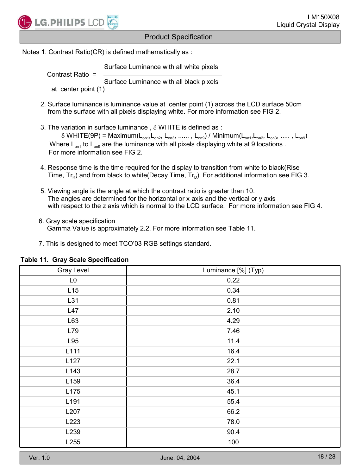

Notes 1. Contrast Ratio(CR) is defined mathematically as :

Surface Luminance with all white pixels

 Contrast Ratio = Surface Luminance with all black pixels at center point (1)

- 2. Surface luminance is luminance value at center point (1) across the LCD surface 50cm from the surface with all pixels displaying white. For more information see FIG 2.
- 3. The variation in surface luminance,  $\delta$  WHITE is defined as:  $\delta$  WHITE(9P) = Maximum(L<sub>on1</sub>,L<sub>on2</sub>, L<sub>on3</sub>, ......, L<sub>on9</sub>) / Minimum(L<sub>on1</sub>,L<sub>on2</sub>, L<sub>on3</sub>, ....., L<sub>on9</sub>) Where  $L_{on1}$  to  $L_{on2}$  are the luminance with all pixels displaying white at 9 locations . For more information see FIG 2.
- 4. Response time is the time required for the display to transition from white to black(Rise Time,  $Tr_{\mathsf{F}}$ ) and from black to white(Decay Time,  $Tr_{\mathsf{D}}$ ). For additional information see FIG 3.
- 5. Viewing angle is the angle at which the contrast ratio is greater than 10. The angles are determined for the horizontal or x axis and the vertical or y axis with respect to the z axis which is normal to the LCD surface. For more information see FIG 4.
- 6. Gray scale specification Gamma Value is approximately 2.2. For more information see Table 11.
- 7. This is designed to meet TCO'03 RGB settings standard.

| Gray Level     | Luminance [%] (Typ) |
|----------------|---------------------|
| L <sub>0</sub> | 0.22                |
| L15            | 0.34                |
| L31            | 0.81                |
| L47            | 2.10                |
| L63            | 4.29                |
| L79            | 7.46                |
| L95            | 11.4                |
| L111           | 16.4                |
| L127           | 22.1                |
| L143           | 28.7                |
| L159           | 36.4                |
| L175           | 45.1                |
| L191           | 55.4                |
| L207           | 66.2                |
| L223           | 78.0                |
| L239           | 90.4                |
| L255           | 100                 |

#### **Table 11. Gray Scale Specification**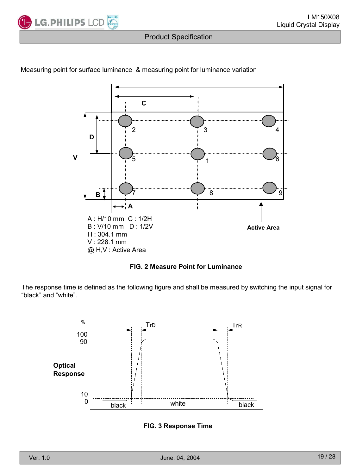



#### Measuring point for surface luminance & measuring point for luminance variation

**FIG. 2 Measure Point for Luminance**

The response time is defined as the following figure and shall be measured by switching the input signal for "black" and "white".



**FIG. 3 Response Time**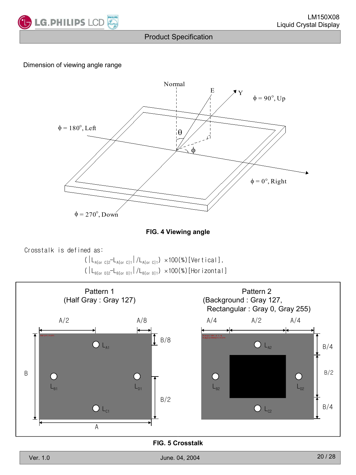

#### Dimension of viewing angle range





Crosstalk is defined as:

 $(|L_{A[or C]2}-L_{A[or C]1}|/L_{A[or C]1}) \times 100(\%)$  [Vertical],  $\big( \left| L_{\text{Bfor D} 2} - L_{\text{Bfor D} 1} \right| / L_{\text{Bfor D} 1} \big) \ \times 100 \text{ (\%)} \, \text{[Hor izontal]}$ 



**FIG. 5 Crosstalk**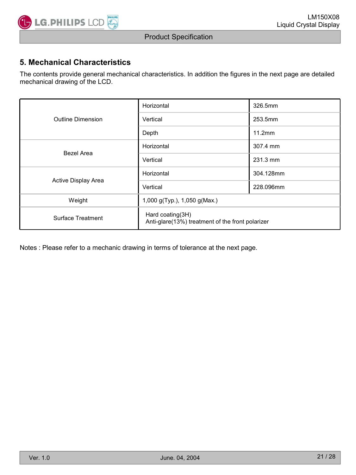

### **5. Mechanical Characteristics**

The contents provide general mechanical characteristics. In addition the figures in the next page are detailed mechanical drawing of the LCD.

|                     | Horizontal                                                           | 326.5mm   |  |  |  |
|---------------------|----------------------------------------------------------------------|-----------|--|--|--|
| Outline Dimension   | Vertical                                                             | 253.5mm   |  |  |  |
|                     | Depth                                                                | 11.2mm    |  |  |  |
| Bezel Area          | Horizontal                                                           | 307.4 mm  |  |  |  |
|                     | Vertical                                                             | 231.3 mm  |  |  |  |
|                     | Horizontal                                                           | 304.128mm |  |  |  |
| Active Display Area | Vertical                                                             | 228.096mm |  |  |  |
| Weight              | 1,000 g(Typ.), 1,050 g(Max.)                                         |           |  |  |  |
| Surface Treatment   | Hard coating(3H)<br>Anti-glare(13%) treatment of the front polarizer |           |  |  |  |

Notes : Please refer to a mechanic drawing in terms of tolerance at the next page.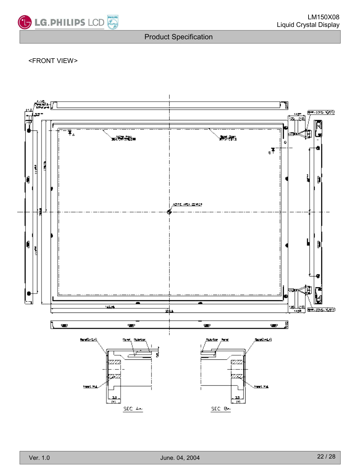

#### <FRONT VIEW>

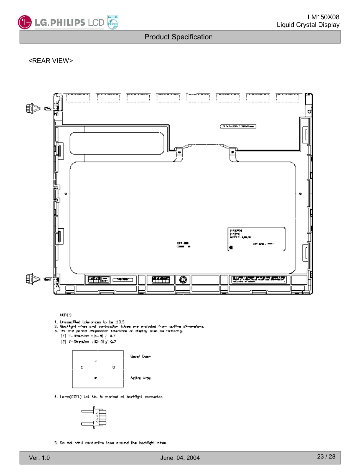

#### <REAR VIEW>



MOTES.

- 
- 1. Drame Thed (charamata for bor ±0.5)<br>2. Beekilght when and contraction tubes are included from cutting dimensions.<br>3. This and partial chapacition tolerance of display area as following.
- 
- (1) in the<br>star of  $\sim 0.7$  $(2)$  X-09 ro000 :  $|0-0| \le 0.7$ 
	- Banal Dann ¢ Q  $\blacksquare$ Adiya yuki
- 4. Lomo(CCFL) Let Ma, hi morted at boothytic comediar.



5. Do not sind conductive loss around the backfairt nines.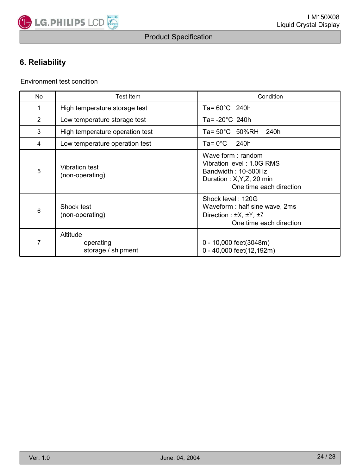

### **6. Reliability**

Environment test condition

| <b>No</b>      | Test Item                                   | Condition                                                                                                                         |  |  |  |
|----------------|---------------------------------------------|-----------------------------------------------------------------------------------------------------------------------------------|--|--|--|
| 1              | High temperature storage test               | Ta= $60^{\circ}$ C 240h                                                                                                           |  |  |  |
| $\overline{2}$ | Low temperature storage test                | Ta= -20°C 240h                                                                                                                    |  |  |  |
| 3              | High temperature operation test             | Ta= 50°C 50%RH<br>240h                                                                                                            |  |  |  |
| 4              | Low temperature operation test              | Ta= 0°C<br>240h                                                                                                                   |  |  |  |
| $\sqrt{5}$     | Vibration test<br>(non-operating)           | Wave form: random<br>Vibration level: 1.0G RMS<br>Bandwidth: 10-500Hz<br>Duration : $X, Y, Z$ , 20 min<br>One time each direction |  |  |  |
| 6              | Shock test<br>(non-operating)               | Shock level: 120G<br>Waveform: half sine wave, 2ms<br>Direction : $\pm X$ , $\pm Y$ , $\pm Z$<br>One time each direction          |  |  |  |
| 7              | Altitude<br>operating<br>storage / shipment | 0 - 10,000 feet(3048m)<br>0 - 40,000 feet(12,192m)                                                                                |  |  |  |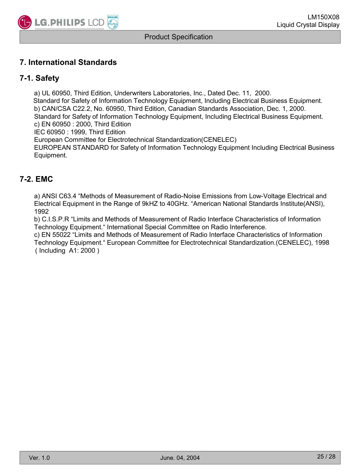

### **7. International Standards**

#### **7-1. Safety**

a) UL 60950, Third Edition, Underwriters Laboratories, Inc., Dated Dec. 11, 2000. Standard for Safety of Information Technology Equipment, Including Electrical Business Equipment. b) CAN/CSA C22.2, No. 60950, Third Edition, Canadian Standards Association, Dec. 1, 2000. Standard for Safety of Information Technology Equipment, Including Electrical Business Equipment. c) EN 60950 : 2000, Third Edition IEC 60950 : 1999, Third Edition European Committee for Electrotechnical Standardization(CENELEC) EUROPEAN STANDARD for Safety of Information Technology Equipment Including Electrical Business

Equipment.

#### **7-2. EMC**

a) ANSI C63.4 "Methods of Measurement of Radio-Noise Emissions from Low-Voltage Electrical and Electrical Equipment in the Range of 9kHZ to 40GHz. "American National Standards Institute(ANSI), 1992

b) C.I.S.P.R "Limits and Methods of Measurement of Radio Interface Characteristics of Information Technology Equipment." International Special Committee on Radio Interference.

c) EN 55022 "Limits and Methods of Measurement of Radio Interface Characteristics of Information Technology Equipment." European Committee for Electrotechnical Standardization.(CENELEC), 1998 ( Including A1: 2000 )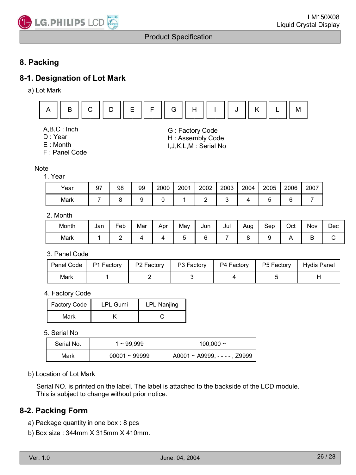

### **8. Packing**

### **8-1. Designation of Lot Mark**

a) Lot Mark



- A,B,C : Inch
- D : Year
- E : Month
- F : Panel Code

#### Note

#### 1. Year

| Year | 97 | 98 | 99 | 2000 | 2001 | 2002 | 2003 | 2004 | 2005 | 2006 | 2007 |
|------|----|----|----|------|------|------|------|------|------|------|------|
| Mark |    |    |    |      |      |      |      |      |      |      |      |

G : Factory Code H : Assembly Code I,J,K,L,M : Serial No

#### 2. Month

| Month | Jan | Feb | Mar | Apr | May | Jun | Jul | Aug | Sep | Oct | . .<br><b>Nov</b> | Dec |
|-------|-----|-----|-----|-----|-----|-----|-----|-----|-----|-----|-------------------|-----|
| Mark  |     | -   |     |     |     |     |     |     |     |     | . .               |     |

3. Panel Code

| Panel Code | P1 Factory | P <sub>2</sub> Factory | P3 Factory | P4 Factory | P5 Factory | Hydis Panel |
|------------|------------|------------------------|------------|------------|------------|-------------|
| Mark       |            |                        |            |            |            |             |

4. Factory Code

| Factory Code | <b>LPL Gumi</b> | LPL Nanjing |
|--------------|-----------------|-------------|
| Mark         |                 |             |

5. Serial No

| Serial No. | 1~99,999        | 100.000 $\sim$                       |
|------------|-----------------|--------------------------------------|
| Mark       | $00001 - 99999$ | $A0001 \sim A9999$ , $- - -$ , Z9999 |

#### b) Location of Lot Mark

Serial NO. is printed on the label. The label is attached to the backside of the LCD module. This is subject to change without prior notice.

#### **8-2. Packing Form**

- a) Package quantity in one box : 8 pcs
- b) Box size : 344mm X 315mm X 410mm.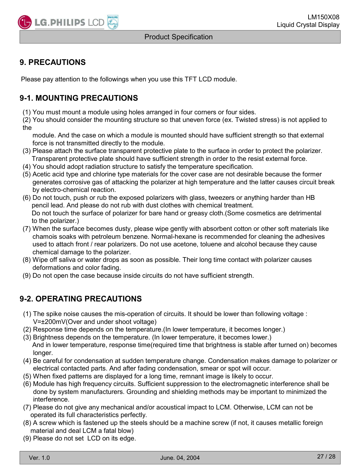### **9. PRECAUTIONS**

Please pay attention to the followings when you use this TFT LCD module.

### **9-1. MOUNTING PRECAUTIONS**

(1) You must mount a module using holes arranged in four corners or four sides.

(2) You should consider the mounting structure so that uneven force (ex. Twisted stress) is not applied to the

module. And the case on which a module is mounted should have sufficient strength so that external force is not transmitted directly to the module.

- (3) Please attach the surface transparent protective plate to the surface in order to protect the polarizer. Transparent protective plate should have sufficient strength in order to the resist external force.
- (4) You should adopt radiation structure to satisfy the temperature specification.
- (5) Acetic acid type and chlorine type materials for the cover case are not desirable because the former generates corrosive gas of attacking the polarizer at high temperature and the latter causes circuit break by electro-chemical reaction.
- (6) Do not touch, push or rub the exposed polarizers with glass, tweezers or anything harder than HB pencil lead. And please do not rub with dust clothes with chemical treatment. Do not touch the surface of polarizer for bare hand or greasy cloth.(Some cosmetics are detrimental to the polarizer.)
- (7) When the surface becomes dusty, please wipe gently with absorbent cotton or other soft materials like chamois soaks with petroleum benzene. Normal-hexane is recommended for cleaning the adhesives used to attach front / rear polarizers. Do not use acetone, toluene and alcohol because they cause chemical damage to the polarizer.
- (8) Wipe off saliva or water drops as soon as possible. Their long time contact with polarizer causes deformations and color fading.
- (9) Do not open the case because inside circuits do not have sufficient strength.

### **9-2. OPERATING PRECAUTIONS**

- (1) The spike noise causes the mis-operation of circuits. It should be lower than following voltage : V=±200mV(Over and under shoot voltage)
- (2) Response time depends on the temperature.(In lower temperature, it becomes longer.)
- (3) Brightness depends on the temperature. (In lower temperature, it becomes lower.) And in lower temperature, response time(required time that brightness is stable after turned on) becomes longer.
- (4) Be careful for condensation at sudden temperature change. Condensation makes damage to polarizer or electrical contacted parts. And after fading condensation, smear or spot will occur.
- (5) When fixed patterns are displayed for a long time, remnant image is likely to occur.
- (6) Module has high frequency circuits. Sufficient suppression to the electromagnetic interference shall be done by system manufacturers. Grounding and shielding methods may be important to minimized the interference.
- (7) Please do not give any mechanical and/or acoustical impact to LCM. Otherwise, LCM can not be operated its full characteristics perfectly.
- (8) A screw which is fastened up the steels should be a machine screw (if not, it causes metallic foreign material and deal LCM a fatal blow)
- (9) Please do not set LCD on its edge.